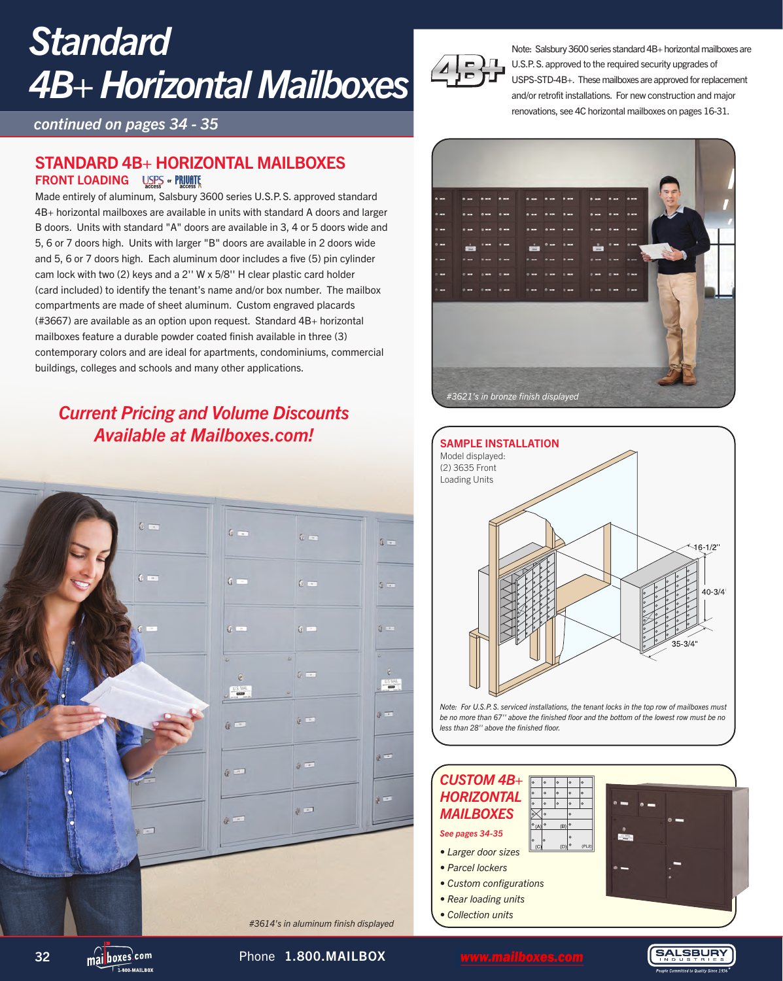# *Standard 4B+ Horizontal Mailboxes*

*continued on pages 34 - 35*

### STANDARD 4B+ HORIZONTAL MAILBOXES FRONT LOADING USES of PRIVATE

Made entirely of aluminum, Salsbury 3600 series U.S.P.S. approved standard 4B+ horizontal mailboxes are available in units with standard A doors and larger B doors. Units with standard "A" doors are available in 3, 4 or 5 doors wide and 5, 6 or 7 doors high. Units with larger "B" doors are available in 2 doors wide and 5, 6 or 7 doors high. Each aluminum door includes a five (5) pin cylinder cam lock with two (2) keys and a 2'' W x 5/8'' H clear plastic card holder (card included) to identify the tenant's name and/or box number. The mailbox compartments are made of sheet aluminum. Custom engraved placards (#3667) are available as an option upon request. Standard 4B+ horizontal mailboxes feature a durable powder coated finish available in three (3) contemporary colors and are ideal for apartments, condominiums, commercial buildings, colleges and schools and many other applications.

### *Current Pricing and Volume Discounts Available at Mailboxes.com!*





Note: Salsbury 3600 series standard 4B+ horizontal mailboxes are U.S.P.S. approved to the required security upgrades of USPS-STD-4B+. These mailboxes are approved for replacement and/or retrofit installations. For new construction and major renovations, see 4C horizontal mailboxes on pages 16-31.





#### *CUSTOM 4B+ HORIZONTAL MAILBOXES See pages 34-35*

- *Larger door sizes*
- *Parcel lockers*
- *Custom configurations*
- *Rear loading units*
- *Collection units*



**SALSBURY** 

32 mailboxes.com Phone 1.800.MAILBOX mailboxes.com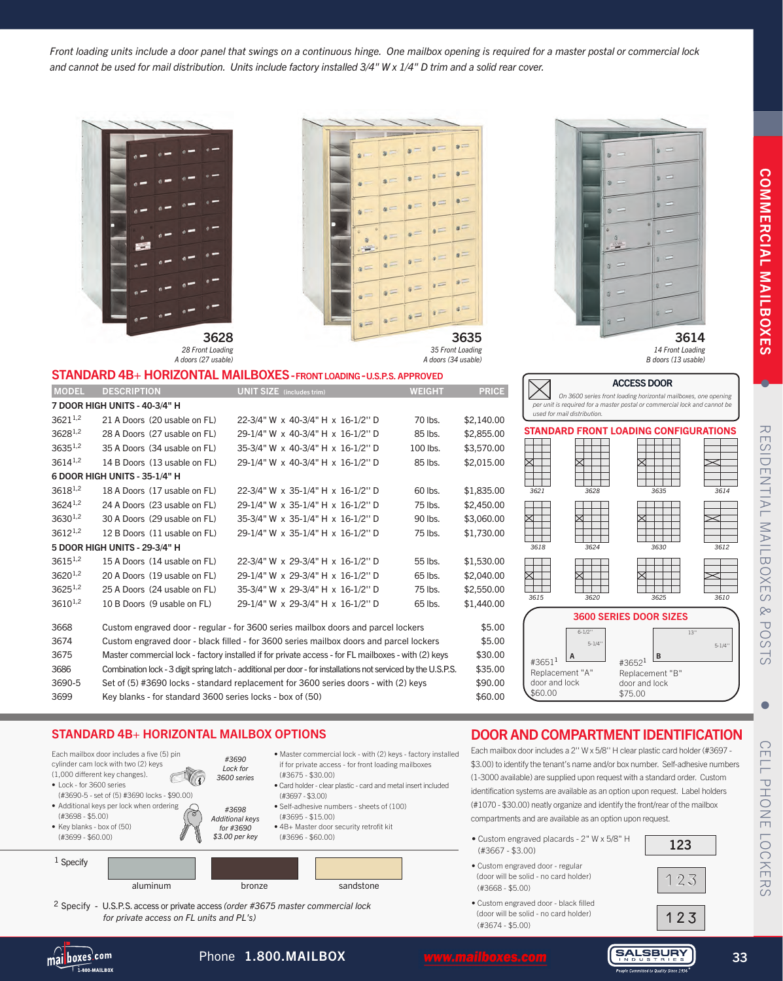**COMMERCIAL MAILBOXES** COMMERCIAL MAILBOXES

•

**RESI** RESIDENTIAL MAILBOXES & POSTS **IDENTIAL** .<br>Mai **ILBOXES**  $\otimes$  $\overline{\mathbf{U}}$ SOc ഗ്

#### *Front loading units include a door panel that swings on a continuous hinge. One mailbox opening is required for a master postal or commercial lock and cannot be used for mail distribution. Units include factory installed 3/4" W x 1/4" D trim and a solid rear cover.*



7 DOOR HIGH UNITS - 40-3/4" H

6 DOOR HIGH UNITS - 35-1/4" H

5 DOOR HIGH UNITS - 29-3/4" H

Each mailbox door includes a five (5) pir cylinder cam lock with two (2) keys (1,000 different key changes). • Lock - for 3600 series

(#3690-5 - set of (5) #3690 locks - \$90.00) • Additional keys per lock when ordering

STANDARD 4B+ HORIZONTAL MAILBOXES - FRONT LOADING - U.S.P.S. APPROVED

MODEL DESCRIPTION UNIT SIZE (includes trim) WEIGHT PRICE

3621<sup>1,2</sup> 21 A Doors (20 usable on FL) 22-3/4" W x 40-3/4" H x 16-1/2" D 70 lbs. \$2,140.00 3628<sup>1,2</sup> 28 A Doors (27 usable on FL) 29-1/4" W x 40-3/4" H x 16-1/2" D 85 lbs. \$2,855.00 36351,2 35 A Doors (34 usable on FL) 35-3/4" W x 40-3/4" H x 16-1/2'' D 100 lbs. \$3,570.00 3614<sup>1,2</sup> 14 B Doors (13 usable on FL) 29-1/4" W x 40-3/4" H x 16-1/2" D 85 lbs. \$2,015.00

3618<sup>1,2</sup> 18 A Doors (17 usable on FL) 22-3/4" W x 35-1/4" H x 16-1/2" D 60 lbs. \$1,835.00 36241,2 24 A Doors (23 usable on FL) 29-1/4" W x 35-1/4" H x 16-1/2'' D 75 lbs. \$2,450.00 3630<sup>1,2</sup> 30 A Doors (29 usable on FL) 35-3/4" W x 35-1/4" H x 16-1/2" D 90 lbs. \$3,060.00 36121,2 12 B Doors (11 usable on FL) 29-1/4" W x 35-1/4" H x 16-1/2'' D 75 lbs. \$1,730.00

3615<sup>1,2</sup> 15 A Doors (14 usable on FL) 22-3/4" W x 29-3/4" H x 16-1/2" D 55 lbs. \$1,530.00  $3620^{1.2}$  20 A Doors (19 usable on FL)  $29-1/4$ " W x 29-3/4" H x 16-1/2" D 65 lbs. \$2,040.00 36251,2 25 A Doors (24 usable on FL) 35-3/4" W x 29-3/4" H x 16-1/2'' D 75 lbs. \$2,550.00 3610<sup>1,2</sup> 10 B Doors (9 usable on FL) 29-1/4" W x 29-3/4" H x 16-1/2" D 65 lbs. \$1,440.00 3668 Custom engraved door - regular - for 3600 series mailbox doors and parcel lockers \$5.00 3674 Custom engraved door - black filled - for 3600 series mailbox doors and parcel lockers \$5.00 3675 Master commercial lock - factory installed if for private access - for FL mailboxes - with (2) keys \$30.00 3686 Combination lock - 3 digit spring latch - additional per door - for installations not serviced by the U.S.P.S. \$35.00 3690-5 Set of (5) #3690 locks - standard replacement for 3600 series doors - with (2) keys \$90.00 3699 Key blanks - for standard 3600 series locks - box of (50) \$60.00

if for private access - for front loading mailboxes

• Self-adhesive numbers - sheets of (100)

• 4B+ Master door security retrofit kit

• Card holder - clear plastic - card and metal insert included

(#3675 - \$30.00)

(#3695 - \$15.00)

(#3696 - \$60.00)

(#3697 - \$3.00)

|   |          |               |              | $\equiv$                |
|---|----------|---------------|--------------|-------------------------|
|   |          |               |              |                         |
|   |          | -             | $=$          | $=$                     |
|   | $\alpha$ |               | $\equiv$     | s                       |
| o | ਵ        |               | $=$          | $\overline{\mathbf{a}}$ |
|   |          |               |              | $=$                     |
|   | $s =$    | $=$           |              |                         |
|   |          | $=$           | $\epsilon =$ | $\frac{1}{2}$           |
|   |          | $\Rightarrow$ |              | $=$                     |
|   | $=$      |               |              | 3635                    |



*used for mail distribution.* 

ACCESS DOOR *On 3600 series front loading horizontal mailboxes, one opening per unit is required for a master postal or commercial lock and cannot be* 

*B doors (13 usable)*



- door and lock \$60.00 door and lock \$75.00
- •

## CELL PHONE LOCKERS  $\Box$ PHONE LOCKERS

#### DOOR AND COMPARTMENT IDENTIFICATION Each mailbox door includes a 2'' W x 5/8'' H clear plastic card holder (#3697 - • Master commercial lock - with (2) keys - factory installed

\$3.00) to identify the tenant's name and/or box number. Self-adhesive numbers (1-3000 available) are supplied upon request with a standard order. Custom identification systems are available as an option upon request. Label holders (#1070 - \$30.00) neatly organize and identify the front/rear of the mailbox compartments and are available as an option upon request.

- Custom engraved placards 2" W x 5/8" H  $\qquad \qquad \begin{array}{|c|c|} \hline \text{123} \end{array}$
- Custom engraved door regular (door will be solid - no card holder) (#3668 - \$5.00)
- Custom engraved door black filled (door will be solid - no card holder) (#3674 - \$5.00)

2 Specify - U.S.P.S. access or private access *(order #3675 master commercial lock for private access on FL units and PL's)*

STANDARD 4B+ HORIZONTAL MAILBOX OPTIONS

*#3690 Lock for 3600 series* 

*#3698 Additional keys for #3690 \$3.00 per key*

mai boxes com **1.800-MAIL ROX** 

(#3698 - \$5.00) • Key blanks - box of (50) (#3699 - \$60.00)

1 Specify

### Phone 1.800.MAILBOX mailboxes.com

aluminum bronze sandstone



123

 $123$ 

**SALSBURY**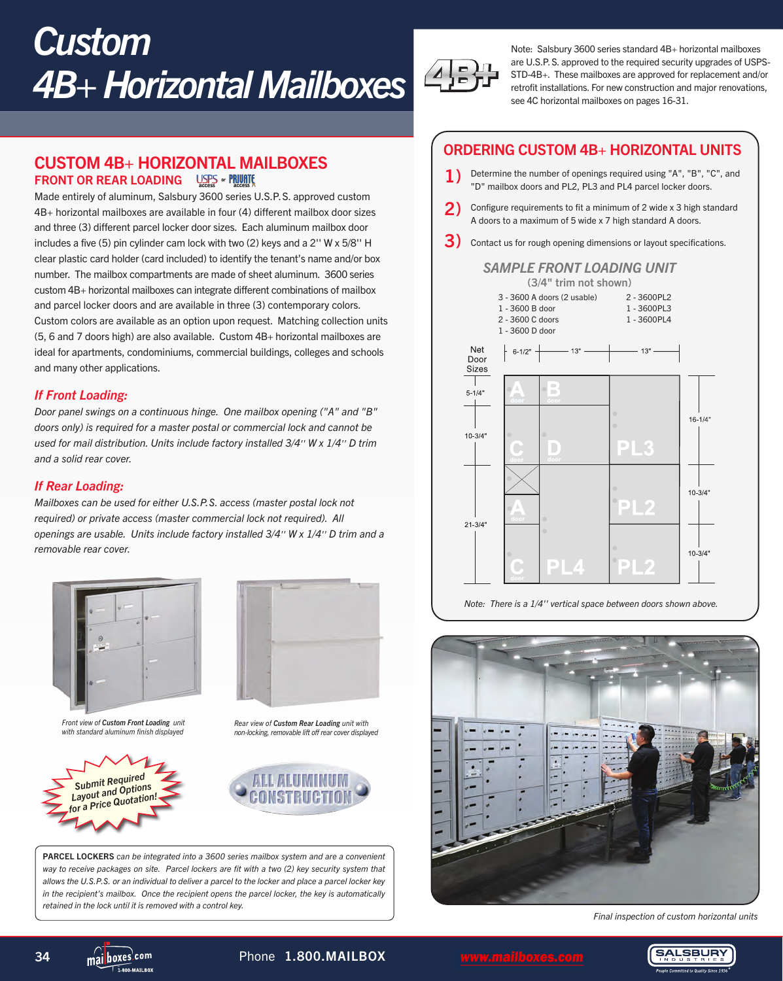# *Custom 4B+ Horizontal Mailboxes*

CUSTOM 4B+ HORIZONTAL MAILBOXES FRONT OR REAR LOADING USES - PRIVITE

Made entirely of aluminum, Salsbury 3600 series U.S.P.S. approved custom 4B+ horizontal mailboxes are available in four (4) different mailbox door sizes and three (3) different parcel locker door sizes. Each aluminum mailbox door includes a five (5) pin cylinder cam lock with two (2) keys and a 2'' W x 5/8'' H clear plastic card holder (card included) to identify the tenant's name and/or box number. The mailbox compartments are made of sheet aluminum. 3600 series custom 4B+ horizontal mailboxes can integrate different combinations of mailbox and parcel locker doors and are available in three (3) contemporary colors. Custom colors are available as an option upon request. Matching collection units (5, 6 and 7 doors high) are also available. Custom 4B+ horizontal mailboxes are ideal for apartments, condominiums, commercial buildings, colleges and schools and many other applications.

#### *If Front Loading:*

*Door panel swings on a continuous hinge. One mailbox opening ("A" and "B" doors only) is required for a master postal or commercial lock and cannot be used for mail distribution. Units include factory installed 3/4'' W x 1/4'' D trim and a solid rear cover.*

#### *If Rear Loading:*

*Mailboxes can be used for either U.S.P.S. access (master postal lock not required) or private access (master commercial lock not required). All openings are usable. Units include factory installed 3/4'' W x 1/4'' D trim and a removable rear cover.*



*Front view of Custom Front Loading unit with standard aluminum finish displayed*





*Rear view of Custom Rear Loading unit with non-locking, removable lift off rear cover displayed*



PARCEL LOCKERS *can be integrated into a 3600 series mailbox system and are a convenient way to receive packages on site. Parcel lockers are fit with a two (2) key security system that allows the U.S.P.S. or an individual to deliver a parcel to the locker and place a parcel locker key in the recipient's mailbox. Once the recipient opens the parcel locker, the key is automatically retained in the lock until it is removed with a control key.* 



Note: Salsbury 3600 series standard 4B+ horizontal mailboxes are U.S.P.S. approved to the required security upgrades of USPS-STD-4B+. These mailboxes are approved for replacement and/or retrofit installations. For new construction and major renovations, see 4C horizontal mailboxes on pages 16-31.

#### ORDERING CUSTOM 4B+ HORIZONTAL UNITS

- 1) Determine the number of openings required using "A", "B", "C", and "D" mailbox doors and PL2, PL3 and PL4 parcel locker doors.
- 2) Configure requirements to fit a minimum of 2 wide x 3 high standard A doors to a maximum of 5 wide x 7 high standard A doors.
- $\bf 3)$  Contact us for rough opening dimensions or layout specifications.

#### *SAMPLE FRONT LOADING UNIT*



*Note: There is a 1/4'' vertical space between doors shown above.*



*Final inspection of custom horizontal units*



34 mai boxes<sup>com</sup> Phone 1.800.MAILBOX